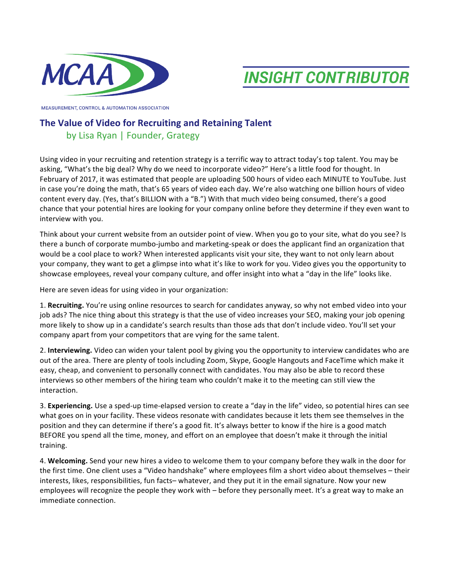



MEASUREMENT, CONTROL & AUTOMATION ASSOCIATION

## **The Value of Video for Recruiting and Retaining Talent**

## by Lisa Ryan | Founder, Grategy

Using video in your recruiting and retention strategy is a terrific way to attract today's top talent. You may be asking, "What's the big deal? Why do we need to incorporate video?" Here's a little food for thought. In February of 2017, it was estimated that people are uploading 500 hours of video each MINUTE to YouTube. Just in case you're doing the math, that's 65 years of video each day. We're also watching one billion hours of video content every day. (Yes, that's BILLION with a "B.") With that much video being consumed, there's a good chance that your potential hires are looking for your company online before they determine if they even want to interview with you.

Think about your current website from an outsider point of view. When you go to your site, what do you see? Is there a bunch of corporate mumbo-jumbo and marketing-speak or does the applicant find an organization that would be a cool place to work? When interested applicants visit your site, they want to not only learn about your company, they want to get a glimpse into what it's like to work for you. Video gives you the opportunity to showcase employees, reveal your company culture, and offer insight into what a "day in the life" looks like.

Here are seven ideas for using video in your organization:

1. Recruiting. You're using online resources to search for candidates anyway, so why not embed video into your job ads? The nice thing about this strategy is that the use of video increases your SEO, making your job opening more likely to show up in a candidate's search results than those ads that don't include video. You'll set your company apart from your competitors that are vying for the same talent.

2. Interviewing. Video can widen your talent pool by giving you the opportunity to interview candidates who are out of the area. There are plenty of tools including Zoom, Skype, Google Hangouts and FaceTime which make it easy, cheap, and convenient to personally connect with candidates. You may also be able to record these interviews so other members of the hiring team who couldn't make it to the meeting can still view the interaction. 

3. **Experiencing.** Use a sped-up time-elapsed version to create a "day in the life" video, so potential hires can see what goes on in your facility. These videos resonate with candidates because it lets them see themselves in the position and they can determine if there's a good fit. It's always better to know if the hire is a good match BEFORE you spend all the time, money, and effort on an employee that doesn't make it through the initial training. 

4. Welcoming. Send your new hires a video to welcome them to your company before they walk in the door for the first time. One client uses a "Video handshake" where employees film a short video about themselves – their interests, likes, responsibilities, fun facts- whatever, and they put it in the email signature. Now your new employees will recognize the people they work with – before they personally meet. It's a great way to make an immediate connection.